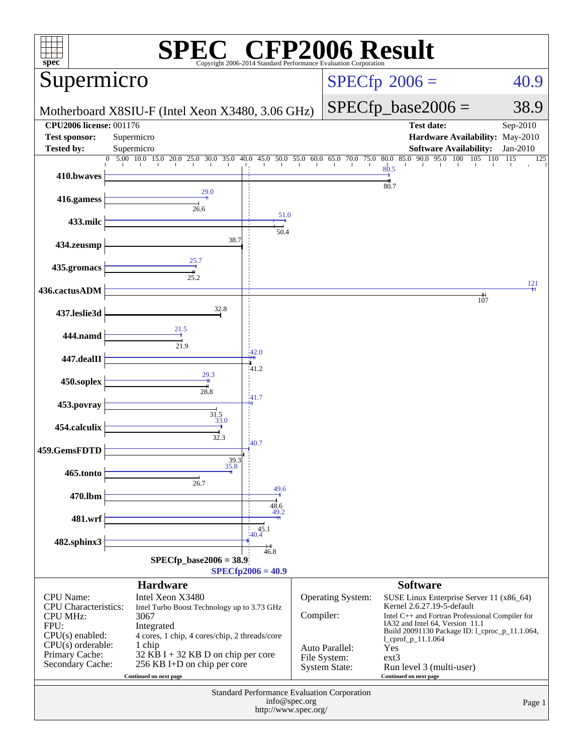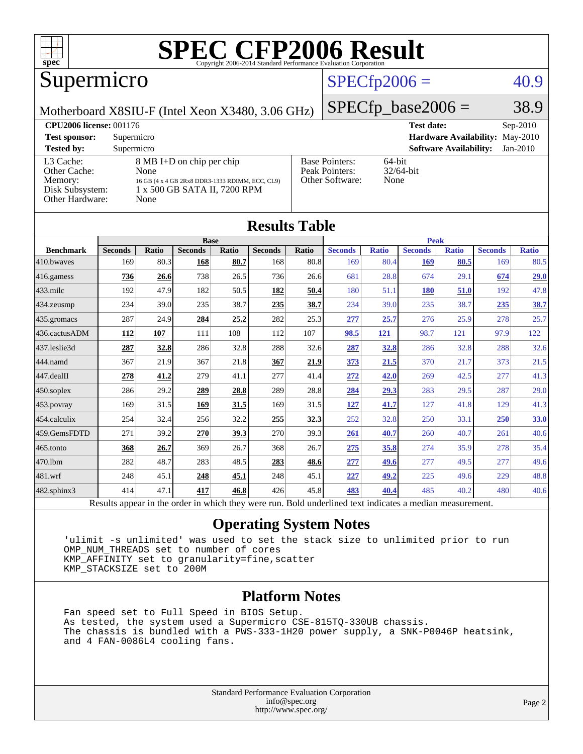

## Supermicro

### $SPECfp2006 = 40.9$  $SPECfp2006 = 40.9$

Motherboard X8SIU-F (Intel Xeon X3480, 3.06 GHz)

 $SPECfp\_base2006 = 38.9$ 

| <b>CPU2006 license: 001176</b> |                                                 |                                 | <b>Test date:</b><br>$Sep-2010$             |  |  |
|--------------------------------|-------------------------------------------------|---------------------------------|---------------------------------------------|--|--|
| <b>Test sponsor:</b>           | Supermicro                                      | Hardware Availability: May-2010 |                                             |  |  |
| <b>Tested by:</b>              | Supermicro                                      |                                 | <b>Software Availability:</b><br>$Jan-2010$ |  |  |
| L3 Cache:                      | 8 MB I+D on chip per chip                       | <b>Base Pointers:</b>           | $64$ -bit                                   |  |  |
| Other Cache:                   | None                                            | Peak Pointers:                  | $32/64$ -bit                                |  |  |
| Memory:                        | 16 GB (4 x 4 GB 2Rx8 DDR3-1333 RDIMM, ECC, CL9) | Other Software:                 | None                                        |  |  |
| Disk Subsystem:                | 1 x 500 GB SATA II, 7200 RPM                    |                                 |                                             |  |  |
| Other Hardware:                | None                                            |                                 |                                             |  |  |

**[Results Table](http://www.spec.org/auto/cpu2006/Docs/result-fields.html#ResultsTable)**

| Roguio Tadic                                                                                             |                |              |                |       |                |       |                |              |                |              |                |              |
|----------------------------------------------------------------------------------------------------------|----------------|--------------|----------------|-------|----------------|-------|----------------|--------------|----------------|--------------|----------------|--------------|
|                                                                                                          |                |              | <b>Base</b>    |       |                |       | <b>Peak</b>    |              |                |              |                |              |
| <b>Benchmark</b>                                                                                         | <b>Seconds</b> | <b>Ratio</b> | <b>Seconds</b> | Ratio | <b>Seconds</b> | Ratio | <b>Seconds</b> | <b>Ratio</b> | <b>Seconds</b> | <b>Ratio</b> | <b>Seconds</b> | <b>Ratio</b> |
| 410.bwayes                                                                                               | 169            | 80.3         | 168            | 80.7  | 168            | 80.8  | 169            | 80.4         | 169            | 80.5         | 169            | 80.5         |
| 416.gamess                                                                                               | 736            | 26.6         | 738            | 26.5  | 736            | 26.6  | 681            | 28.8         | 674            | 29.1         | 674            | 29.0         |
| $433$ .milc                                                                                              | 192            | 47.9         | 182            | 50.5  | 182            | 50.4  | 180            | 51.1         | 180            | 51.0         | 192            | 47.8         |
| 434.zeusmp                                                                                               | 234            | 39.0         | 235            | 38.7  | 235            | 38.7  | 234            | 39.0         | 235            | 38.7         | 235            | 38.7         |
| 435 gromacs                                                                                              | 287            | 24.9         | 284            | 25.2  | 282            | 25.3  | 277            | 25.7         | 276            | 25.9         | 278            | 25.7         |
| 436.cactusADM                                                                                            | 112            | 107          | 111            | 108   | 112            | 107   | 98.5           | <u>121</u>   | 98.7           | 121          | 97.9           | 122          |
| 437.leslie3d                                                                                             | 287            | 32.8         | 286            | 32.8  | 288            | 32.6  | 287            | 32.8         | 286            | 32.8         | 288            | 32.6         |
| 444.namd                                                                                                 | 367            | 21.9         | 367            | 21.8  | 367            | 21.9  | <u>373</u>     | 21.5         | 370            | 21.7         | 373            | 21.5         |
| 447.dealII                                                                                               | 278            | 41.2         | 279            | 41.1  | 277            | 41.4  | 272            | 42.0         | 269            | 42.5         | 277            | 41.3         |
| $450$ .soplex                                                                                            | 286            | 29.2         | 289            | 28.8  | 289            | 28.8  | 284            | 29.3         | 283            | 29.5         | 287            | 29.0         |
| 453.povray                                                                                               | 169            | 31.5         | 169            | 31.5  | 169            | 31.5  | <u>127</u>     | 41.7         | 127            | 41.8         | 129            | 41.3         |
| 454.calculix                                                                                             | 254            | 32.4         | 256            | 32.2  | 255            | 32.3  | 252            | 32.8         | 250            | 33.1         | 250            | 33.0         |
| 459.GemsFDTD                                                                                             | 271            | 39.2         | 270            | 39.3  | 270            | 39.3  | 261            | 40.7         | 260            | 40.7         | 261            | 40.6         |
| 465.tonto                                                                                                | 368            | 26.7         | 369            | 26.7  | 368            | 26.7  | 275            | 35.8         | 274            | 35.9         | 278            | 35.4         |
| 470.1bm                                                                                                  | 282            | 48.7         | 283            | 48.5  | 283            | 48.6  | 277            | 49.6         | 277            | 49.5         | 277            | 49.6         |
| 481.wrf                                                                                                  | 248            | 45.1         | 248            | 45.1  | 248            | 45.1  | 227            | 49.2         | 225            | 49.6         | 229            | 48.8         |
| $482$ .sphinx $3$                                                                                        | 414            | 47.1         | 417            | 46.8  | 426            | 45.8  | 483            | 40.4         | 485            | 40.2         | 480            | 40.6         |
| Results appear in the order in which they were run. Bold underlined text indicates a median measurement. |                |              |                |       |                |       |                |              |                |              |                |              |

#### **[Operating System Notes](http://www.spec.org/auto/cpu2006/Docs/result-fields.html#OperatingSystemNotes)**

 'ulimit -s unlimited' was used to set the stack size to unlimited prior to run OMP\_NUM\_THREADS set to number of cores KMP\_AFFINITY set to granularity=fine,scatter KMP\_STACKSIZE set to 200M

#### **[Platform Notes](http://www.spec.org/auto/cpu2006/Docs/result-fields.html#PlatformNotes)**

 Fan speed set to Full Speed in BIOS Setup. As tested, the system used a Supermicro CSE-815TQ-330UB chassis. The chassis is bundled with a PWS-333-1H20 power supply, a SNK-P0046P heatsink, and 4 FAN-0086L4 cooling fans.

> Standard Performance Evaluation Corporation [info@spec.org](mailto:info@spec.org) <http://www.spec.org/>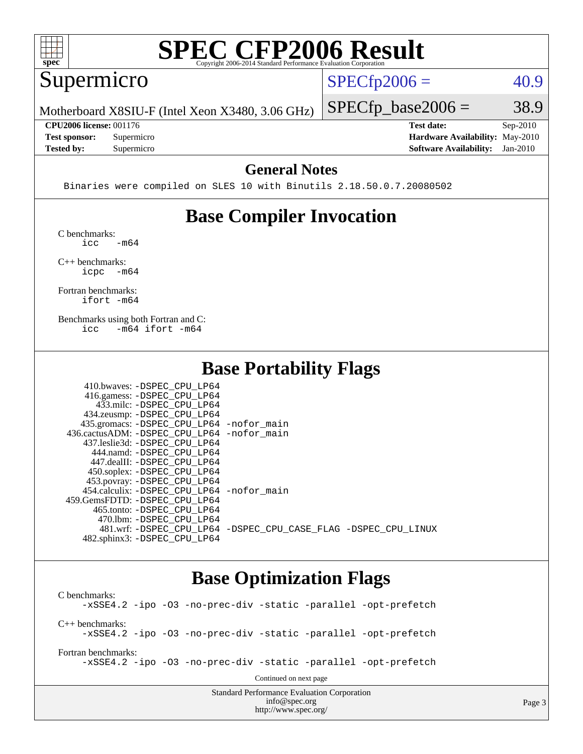

#### Supermicro

 $SPECTp2006 = 40.9$ 

Motherboard X8SIU-F (Intel Xeon X3480, 3.06 GHz)

 $SPECTp\_base2006 = 38.9$ 

Page 3

**[CPU2006 license:](http://www.spec.org/auto/cpu2006/Docs/result-fields.html#CPU2006license)** 001176 **[Test date:](http://www.spec.org/auto/cpu2006/Docs/result-fields.html#Testdate)** Sep-2010

**[Tested by:](http://www.spec.org/auto/cpu2006/Docs/result-fields.html#Testedby)** Supermicro **[Software Availability:](http://www.spec.org/auto/cpu2006/Docs/result-fields.html#SoftwareAvailability)** Jan-2010

**[Test sponsor:](http://www.spec.org/auto/cpu2006/Docs/result-fields.html#Testsponsor)** Supermicro **[Hardware Availability:](http://www.spec.org/auto/cpu2006/Docs/result-fields.html#HardwareAvailability)** May-2010

#### **[General Notes](http://www.spec.org/auto/cpu2006/Docs/result-fields.html#GeneralNotes)**

Binaries were compiled on SLES 10 with Binutils 2.18.50.0.7.20080502

## **[Base Compiler Invocation](http://www.spec.org/auto/cpu2006/Docs/result-fields.html#BaseCompilerInvocation)**

[C benchmarks](http://www.spec.org/auto/cpu2006/Docs/result-fields.html#Cbenchmarks):  $\text{icc}$   $-\text{m64}$ 

[C++ benchmarks:](http://www.spec.org/auto/cpu2006/Docs/result-fields.html#CXXbenchmarks) [icpc -m64](http://www.spec.org/cpu2006/results/res2010q3/cpu2006-20100913-13250.flags.html#user_CXXbase_intel_icpc_64bit_bedb90c1146cab66620883ef4f41a67e)

[Fortran benchmarks](http://www.spec.org/auto/cpu2006/Docs/result-fields.html#Fortranbenchmarks): [ifort -m64](http://www.spec.org/cpu2006/results/res2010q3/cpu2006-20100913-13250.flags.html#user_FCbase_intel_ifort_64bit_ee9d0fb25645d0210d97eb0527dcc06e)

[Benchmarks using both Fortran and C](http://www.spec.org/auto/cpu2006/Docs/result-fields.html#BenchmarksusingbothFortranandC): [icc -m64](http://www.spec.org/cpu2006/results/res2010q3/cpu2006-20100913-13250.flags.html#user_CC_FCbase_intel_icc_64bit_0b7121f5ab7cfabee23d88897260401c) [ifort -m64](http://www.spec.org/cpu2006/results/res2010q3/cpu2006-20100913-13250.flags.html#user_CC_FCbase_intel_ifort_64bit_ee9d0fb25645d0210d97eb0527dcc06e)

### **[Base Portability Flags](http://www.spec.org/auto/cpu2006/Docs/result-fields.html#BasePortabilityFlags)**

| 410.bwaves: -DSPEC CPU LP64                |                                                                |
|--------------------------------------------|----------------------------------------------------------------|
| 416.gamess: -DSPEC_CPU_LP64                |                                                                |
| 433.milc: -DSPEC CPU LP64                  |                                                                |
| 434.zeusmp: -DSPEC_CPU_LP64                |                                                                |
| 435.gromacs: -DSPEC_CPU_LP64 -nofor_main   |                                                                |
| 436.cactusADM: -DSPEC CPU LP64 -nofor main |                                                                |
| 437.leslie3d: -DSPEC CPU LP64              |                                                                |
| 444.namd: -DSPEC CPU LP64                  |                                                                |
| 447.dealII: -DSPEC CPU LP64                |                                                                |
| 450.soplex: -DSPEC_CPU_LP64                |                                                                |
| 453.povray: -DSPEC_CPU_LP64                |                                                                |
| 454.calculix: -DSPEC CPU LP64 -nofor main  |                                                                |
| 459. GemsFDTD: - DSPEC CPU LP64            |                                                                |
| 465.tonto: - DSPEC CPU LP64                |                                                                |
| 470.1bm: - DSPEC CPU LP64                  |                                                                |
|                                            | 481.wrf: -DSPEC CPU_LP64 -DSPEC_CPU_CASE_FLAG -DSPEC_CPU_LINUX |
| 482.sphinx3: -DSPEC CPU LP64               |                                                                |

### **[Base Optimization Flags](http://www.spec.org/auto/cpu2006/Docs/result-fields.html#BaseOptimizationFlags)**

[info@spec.org](mailto:info@spec.org) <http://www.spec.org/>

Standard Performance Evaluation Corporation [C benchmarks](http://www.spec.org/auto/cpu2006/Docs/result-fields.html#Cbenchmarks): [-xSSE4.2](http://www.spec.org/cpu2006/results/res2010q3/cpu2006-20100913-13250.flags.html#user_CCbase_f-xSSE42_f91528193cf0b216347adb8b939d4107) [-ipo](http://www.spec.org/cpu2006/results/res2010q3/cpu2006-20100913-13250.flags.html#user_CCbase_f-ipo) [-O3](http://www.spec.org/cpu2006/results/res2010q3/cpu2006-20100913-13250.flags.html#user_CCbase_f-O3) [-no-prec-div](http://www.spec.org/cpu2006/results/res2010q3/cpu2006-20100913-13250.flags.html#user_CCbase_f-no-prec-div) [-static](http://www.spec.org/cpu2006/results/res2010q3/cpu2006-20100913-13250.flags.html#user_CCbase_f-static) [-parallel](http://www.spec.org/cpu2006/results/res2010q3/cpu2006-20100913-13250.flags.html#user_CCbase_f-parallel) [-opt-prefetch](http://www.spec.org/cpu2006/results/res2010q3/cpu2006-20100913-13250.flags.html#user_CCbase_f-opt-prefetch) [C++ benchmarks:](http://www.spec.org/auto/cpu2006/Docs/result-fields.html#CXXbenchmarks) [-xSSE4.2](http://www.spec.org/cpu2006/results/res2010q3/cpu2006-20100913-13250.flags.html#user_CXXbase_f-xSSE42_f91528193cf0b216347adb8b939d4107) [-ipo](http://www.spec.org/cpu2006/results/res2010q3/cpu2006-20100913-13250.flags.html#user_CXXbase_f-ipo) [-O3](http://www.spec.org/cpu2006/results/res2010q3/cpu2006-20100913-13250.flags.html#user_CXXbase_f-O3) [-no-prec-div](http://www.spec.org/cpu2006/results/res2010q3/cpu2006-20100913-13250.flags.html#user_CXXbase_f-no-prec-div) [-static](http://www.spec.org/cpu2006/results/res2010q3/cpu2006-20100913-13250.flags.html#user_CXXbase_f-static) [-parallel](http://www.spec.org/cpu2006/results/res2010q3/cpu2006-20100913-13250.flags.html#user_CXXbase_f-parallel) [-opt-prefetch](http://www.spec.org/cpu2006/results/res2010q3/cpu2006-20100913-13250.flags.html#user_CXXbase_f-opt-prefetch) [Fortran benchmarks](http://www.spec.org/auto/cpu2006/Docs/result-fields.html#Fortranbenchmarks): [-xSSE4.2](http://www.spec.org/cpu2006/results/res2010q3/cpu2006-20100913-13250.flags.html#user_FCbase_f-xSSE42_f91528193cf0b216347adb8b939d4107) [-ipo](http://www.spec.org/cpu2006/results/res2010q3/cpu2006-20100913-13250.flags.html#user_FCbase_f-ipo) [-O3](http://www.spec.org/cpu2006/results/res2010q3/cpu2006-20100913-13250.flags.html#user_FCbase_f-O3) [-no-prec-div](http://www.spec.org/cpu2006/results/res2010q3/cpu2006-20100913-13250.flags.html#user_FCbase_f-no-prec-div) [-static](http://www.spec.org/cpu2006/results/res2010q3/cpu2006-20100913-13250.flags.html#user_FCbase_f-static) [-parallel](http://www.spec.org/cpu2006/results/res2010q3/cpu2006-20100913-13250.flags.html#user_FCbase_f-parallel) [-opt-prefetch](http://www.spec.org/cpu2006/results/res2010q3/cpu2006-20100913-13250.flags.html#user_FCbase_f-opt-prefetch) Continued on next page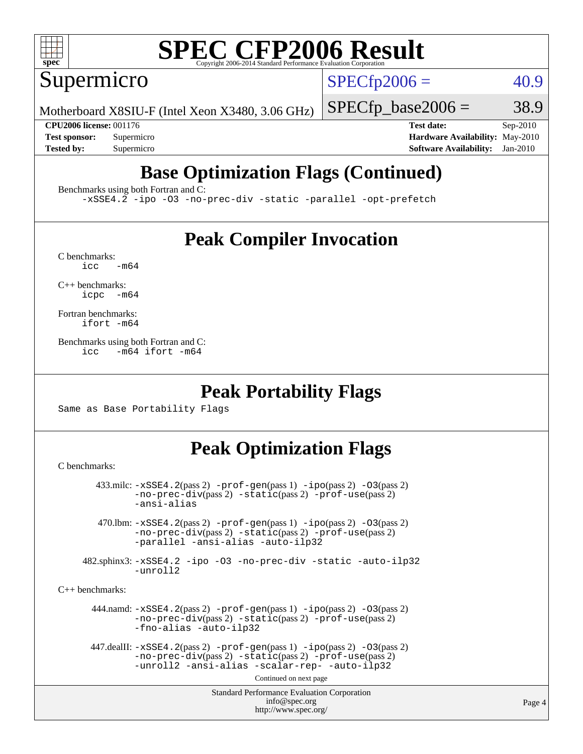

Supermicro

 $SPECTp2006 = 40.9$ 

Motherboard X8SIU-F (Intel Xeon X3480, 3.06 GHz)

 $SPECfp\_base2006 = 38.9$ 

**[CPU2006 license:](http://www.spec.org/auto/cpu2006/Docs/result-fields.html#CPU2006license)** 001176 **[Test date:](http://www.spec.org/auto/cpu2006/Docs/result-fields.html#Testdate)** Sep-2010 **[Test sponsor:](http://www.spec.org/auto/cpu2006/Docs/result-fields.html#Testsponsor)** Supermicro **[Hardware Availability:](http://www.spec.org/auto/cpu2006/Docs/result-fields.html#HardwareAvailability)** May-2010 **[Tested by:](http://www.spec.org/auto/cpu2006/Docs/result-fields.html#Testedby)** Supermicro **[Software Availability:](http://www.spec.org/auto/cpu2006/Docs/result-fields.html#SoftwareAvailability)** Jan-2010

# **[Base Optimization Flags \(Continued\)](http://www.spec.org/auto/cpu2006/Docs/result-fields.html#BaseOptimizationFlags)**

[Benchmarks using both Fortran and C](http://www.spec.org/auto/cpu2006/Docs/result-fields.html#BenchmarksusingbothFortranandC):

[-xSSE4.2](http://www.spec.org/cpu2006/results/res2010q3/cpu2006-20100913-13250.flags.html#user_CC_FCbase_f-xSSE42_f91528193cf0b216347adb8b939d4107) [-ipo](http://www.spec.org/cpu2006/results/res2010q3/cpu2006-20100913-13250.flags.html#user_CC_FCbase_f-ipo) [-O3](http://www.spec.org/cpu2006/results/res2010q3/cpu2006-20100913-13250.flags.html#user_CC_FCbase_f-O3) [-no-prec-div](http://www.spec.org/cpu2006/results/res2010q3/cpu2006-20100913-13250.flags.html#user_CC_FCbase_f-no-prec-div) [-static](http://www.spec.org/cpu2006/results/res2010q3/cpu2006-20100913-13250.flags.html#user_CC_FCbase_f-static) [-parallel](http://www.spec.org/cpu2006/results/res2010q3/cpu2006-20100913-13250.flags.html#user_CC_FCbase_f-parallel) [-opt-prefetch](http://www.spec.org/cpu2006/results/res2010q3/cpu2006-20100913-13250.flags.html#user_CC_FCbase_f-opt-prefetch)

## **[Peak Compiler Invocation](http://www.spec.org/auto/cpu2006/Docs/result-fields.html#PeakCompilerInvocation)**

 $C$  benchmarks:<br>icc  $-m64$ 

[C++ benchmarks:](http://www.spec.org/auto/cpu2006/Docs/result-fields.html#CXXbenchmarks) [icpc -m64](http://www.spec.org/cpu2006/results/res2010q3/cpu2006-20100913-13250.flags.html#user_CXXpeak_intel_icpc_64bit_bedb90c1146cab66620883ef4f41a67e)

[Fortran benchmarks](http://www.spec.org/auto/cpu2006/Docs/result-fields.html#Fortranbenchmarks): [ifort -m64](http://www.spec.org/cpu2006/results/res2010q3/cpu2006-20100913-13250.flags.html#user_FCpeak_intel_ifort_64bit_ee9d0fb25645d0210d97eb0527dcc06e)

[Benchmarks using both Fortran and C](http://www.spec.org/auto/cpu2006/Docs/result-fields.html#BenchmarksusingbothFortranandC): [icc -m64](http://www.spec.org/cpu2006/results/res2010q3/cpu2006-20100913-13250.flags.html#user_CC_FCpeak_intel_icc_64bit_0b7121f5ab7cfabee23d88897260401c) [ifort -m64](http://www.spec.org/cpu2006/results/res2010q3/cpu2006-20100913-13250.flags.html#user_CC_FCpeak_intel_ifort_64bit_ee9d0fb25645d0210d97eb0527dcc06e)

### **[Peak Portability Flags](http://www.spec.org/auto/cpu2006/Docs/result-fields.html#PeakPortabilityFlags)**

Same as Base Portability Flags

## **[Peak Optimization Flags](http://www.spec.org/auto/cpu2006/Docs/result-fields.html#PeakOptimizationFlags)**

[C benchmarks](http://www.spec.org/auto/cpu2006/Docs/result-fields.html#Cbenchmarks):

```
Standard Performance Evaluation Corporation
                                           info@spec.org
                                         http://www.spec.org/
        433.milc: -xSSE4.2(pass 2) -prof-gen(pass 1) -ipo(pass 2) -O3(pass 2)
                -no-prec-div(pass 2) -static(pass 2) -prof-use(pass 2)
                -ansi-alias
         470.lbm: -xSSE4.2(pass 2) -prof-gen(pass 1) -ipo(pass 2) -O3(pass 2)
                -no-prec-div(pass 2) -static(pass 2) -prof-use(pass 2)
                -parallel -ansi-alias -auto-ilp32
      482.sphinx3: -xSSE4.2 -ipo -O3 -no-prec-div -static -auto-ilp32
                -unroll2
C++ benchmarks: 
        444.namd: -xSSE4.2(pass 2) -prof-gen(pass 1) -ipo(pass 2) -O3(pass 2)
                -no-prec-div(pass 2) -static(pass 2) -prof-use(pass 2)
                -fno-alias -auto-ilp32
      447.dealII: -xSSE4. 2(pass 2)-prof-gen-ipo(pass 2) -03(pass 2)
                -no-prec-div(pass 2) -static(pass 2) -prof-use(pass 2)
                -unroll2 -ansi-alias -scalar-rep- -auto-ilp32
                                         Continued on next page
```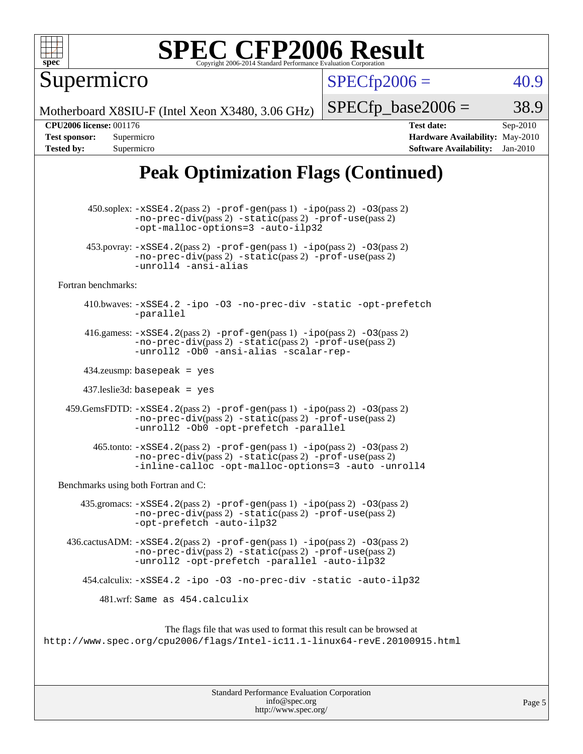

Supermicro

 $SPECTp2006 = 40.9$ 

Motherboard X8SIU-F (Intel Xeon X3480, 3.06 GHz)

 $SPECTp\_base2006 = 38.9$ 

**[CPU2006 license:](http://www.spec.org/auto/cpu2006/Docs/result-fields.html#CPU2006license)** 001176 **[Test date:](http://www.spec.org/auto/cpu2006/Docs/result-fields.html#Testdate)** Sep-2010 **[Test sponsor:](http://www.spec.org/auto/cpu2006/Docs/result-fields.html#Testsponsor)** Supermicro **[Hardware Availability:](http://www.spec.org/auto/cpu2006/Docs/result-fields.html#HardwareAvailability)** May-2010 **[Tested by:](http://www.spec.org/auto/cpu2006/Docs/result-fields.html#Testedby)** Supermicro **[Software Availability:](http://www.spec.org/auto/cpu2006/Docs/result-fields.html#SoftwareAvailability)** Jan-2010

# **[Peak Optimization Flags \(Continued\)](http://www.spec.org/auto/cpu2006/Docs/result-fields.html#PeakOptimizationFlags)**

 450.soplex: [-xSSE4.2](http://www.spec.org/cpu2006/results/res2010q3/cpu2006-20100913-13250.flags.html#user_peakPASS2_CXXFLAGSPASS2_LDFLAGS450_soplex_f-xSSE42_f91528193cf0b216347adb8b939d4107)(pass 2) [-prof-gen](http://www.spec.org/cpu2006/results/res2010q3/cpu2006-20100913-13250.flags.html#user_peakPASS1_CXXFLAGSPASS1_LDFLAGS450_soplex_prof_gen_e43856698f6ca7b7e442dfd80e94a8fc)(pass 1) [-ipo](http://www.spec.org/cpu2006/results/res2010q3/cpu2006-20100913-13250.flags.html#user_peakPASS2_CXXFLAGSPASS2_LDFLAGS450_soplex_f-ipo)(pass 2) [-O3](http://www.spec.org/cpu2006/results/res2010q3/cpu2006-20100913-13250.flags.html#user_peakPASS2_CXXFLAGSPASS2_LDFLAGS450_soplex_f-O3)(pass 2) [-no-prec-div](http://www.spec.org/cpu2006/results/res2010q3/cpu2006-20100913-13250.flags.html#user_peakPASS2_CXXFLAGSPASS2_LDFLAGS450_soplex_f-no-prec-div)(pass 2) [-static](http://www.spec.org/cpu2006/results/res2010q3/cpu2006-20100913-13250.flags.html#user_peakPASS2_CXXFLAGSPASS2_LDFLAGS450_soplex_f-static)(pass 2) [-prof-use](http://www.spec.org/cpu2006/results/res2010q3/cpu2006-20100913-13250.flags.html#user_peakPASS2_CXXFLAGSPASS2_LDFLAGS450_soplex_prof_use_bccf7792157ff70d64e32fe3e1250b55)(pass 2) [-opt-malloc-options=3](http://www.spec.org/cpu2006/results/res2010q3/cpu2006-20100913-13250.flags.html#user_peakOPTIMIZE450_soplex_f-opt-malloc-options_13ab9b803cf986b4ee62f0a5998c2238) [-auto-ilp32](http://www.spec.org/cpu2006/results/res2010q3/cpu2006-20100913-13250.flags.html#user_peakCXXOPTIMIZE450_soplex_f-auto-ilp32) 453.povray:  $-xSSE4$ . 2(pass 2)  $-prof-gen(pass 1) -ipo(pass 2) -O3(pass 2)$  $-prof-gen(pass 1) -ipo(pass 2) -O3(pass 2)$  $-prof-gen(pass 1) -ipo(pass 2) -O3(pass 2)$  $-prof-gen(pass 1) -ipo(pass 2) -O3(pass 2)$  $-prof-gen(pass 1) -ipo(pass 2) -O3(pass 2)$  $-prof-gen(pass 1) -ipo(pass 2) -O3(pass 2)$ [-no-prec-div](http://www.spec.org/cpu2006/results/res2010q3/cpu2006-20100913-13250.flags.html#user_peakPASS2_CXXFLAGSPASS2_LDFLAGS453_povray_f-no-prec-div)(pass 2) [-static](http://www.spec.org/cpu2006/results/res2010q3/cpu2006-20100913-13250.flags.html#user_peakPASS2_CXXFLAGSPASS2_LDFLAGS453_povray_f-static)(pass 2) [-prof-use](http://www.spec.org/cpu2006/results/res2010q3/cpu2006-20100913-13250.flags.html#user_peakPASS2_CXXFLAGSPASS2_LDFLAGS453_povray_prof_use_bccf7792157ff70d64e32fe3e1250b55)(pass 2) [-unroll4](http://www.spec.org/cpu2006/results/res2010q3/cpu2006-20100913-13250.flags.html#user_peakCXXOPTIMIZE453_povray_f-unroll_4e5e4ed65b7fd20bdcd365bec371b81f) [-ansi-alias](http://www.spec.org/cpu2006/results/res2010q3/cpu2006-20100913-13250.flags.html#user_peakCXXOPTIMIZE453_povray_f-ansi-alias) [Fortran benchmarks](http://www.spec.org/auto/cpu2006/Docs/result-fields.html#Fortranbenchmarks): 410.bwaves: [-xSSE4.2](http://www.spec.org/cpu2006/results/res2010q3/cpu2006-20100913-13250.flags.html#user_peakOPTIMIZE410_bwaves_f-xSSE42_f91528193cf0b216347adb8b939d4107) [-ipo](http://www.spec.org/cpu2006/results/res2010q3/cpu2006-20100913-13250.flags.html#user_peakOPTIMIZE410_bwaves_f-ipo) [-O3](http://www.spec.org/cpu2006/results/res2010q3/cpu2006-20100913-13250.flags.html#user_peakOPTIMIZE410_bwaves_f-O3) [-no-prec-div](http://www.spec.org/cpu2006/results/res2010q3/cpu2006-20100913-13250.flags.html#user_peakOPTIMIZE410_bwaves_f-no-prec-div) [-static](http://www.spec.org/cpu2006/results/res2010q3/cpu2006-20100913-13250.flags.html#user_peakOPTIMIZE410_bwaves_f-static) [-opt-prefetch](http://www.spec.org/cpu2006/results/res2010q3/cpu2006-20100913-13250.flags.html#user_peakOPTIMIZE410_bwaves_f-opt-prefetch) [-parallel](http://www.spec.org/cpu2006/results/res2010q3/cpu2006-20100913-13250.flags.html#user_peakOPTIMIZE410_bwaves_f-parallel) 416.gamess:  $-xSSE4$ . 2(pass 2)  $-prof-gen(pass 1) -ipo(pass 2) -O3(pass 2)$  $-prof-gen(pass 1) -ipo(pass 2) -O3(pass 2)$  $-prof-gen(pass 1) -ipo(pass 2) -O3(pass 2)$  $-prof-gen(pass 1) -ipo(pass 2) -O3(pass 2)$  $-prof-gen(pass 1) -ipo(pass 2) -O3(pass 2)$  $-prof-gen(pass 1) -ipo(pass 2) -O3(pass 2)$ [-no-prec-div](http://www.spec.org/cpu2006/results/res2010q3/cpu2006-20100913-13250.flags.html#user_peakPASS2_FFLAGSPASS2_LDFLAGS416_gamess_f-no-prec-div)(pass 2) [-static](http://www.spec.org/cpu2006/results/res2010q3/cpu2006-20100913-13250.flags.html#user_peakPASS2_FFLAGSPASS2_LDFLAGS416_gamess_f-static)(pass 2) [-prof-use](http://www.spec.org/cpu2006/results/res2010q3/cpu2006-20100913-13250.flags.html#user_peakPASS2_FFLAGSPASS2_LDFLAGS416_gamess_prof_use_bccf7792157ff70d64e32fe3e1250b55)(pass 2) [-unroll2](http://www.spec.org/cpu2006/results/res2010q3/cpu2006-20100913-13250.flags.html#user_peakOPTIMIZE416_gamess_f-unroll_784dae83bebfb236979b41d2422d7ec2) [-Ob0](http://www.spec.org/cpu2006/results/res2010q3/cpu2006-20100913-13250.flags.html#user_peakOPTIMIZE416_gamess_f-Ob_n_fbe6f6428adb7d4b74b1e99bb2444c2d) [-ansi-alias](http://www.spec.org/cpu2006/results/res2010q3/cpu2006-20100913-13250.flags.html#user_peakOPTIMIZE416_gamess_f-ansi-alias) [-scalar-rep-](http://www.spec.org/cpu2006/results/res2010q3/cpu2006-20100913-13250.flags.html#user_peakOPTIMIZE416_gamess_f-disablescalarrep_abbcad04450fb118e4809c81d83c8a1d) 434.zeusmp: basepeak = yes 437.leslie3d: basepeak = yes 459.GemsFDTD: [-xSSE4.2](http://www.spec.org/cpu2006/results/res2010q3/cpu2006-20100913-13250.flags.html#user_peakPASS2_FFLAGSPASS2_LDFLAGS459_GemsFDTD_f-xSSE42_f91528193cf0b216347adb8b939d4107)(pass 2) [-prof-gen](http://www.spec.org/cpu2006/results/res2010q3/cpu2006-20100913-13250.flags.html#user_peakPASS1_FFLAGSPASS1_LDFLAGS459_GemsFDTD_prof_gen_e43856698f6ca7b7e442dfd80e94a8fc)(pass 1) [-ipo](http://www.spec.org/cpu2006/results/res2010q3/cpu2006-20100913-13250.flags.html#user_peakPASS2_FFLAGSPASS2_LDFLAGS459_GemsFDTD_f-ipo)(pass 2) [-O3](http://www.spec.org/cpu2006/results/res2010q3/cpu2006-20100913-13250.flags.html#user_peakPASS2_FFLAGSPASS2_LDFLAGS459_GemsFDTD_f-O3)(pass 2) [-no-prec-div](http://www.spec.org/cpu2006/results/res2010q3/cpu2006-20100913-13250.flags.html#user_peakPASS2_FFLAGSPASS2_LDFLAGS459_GemsFDTD_f-no-prec-div)(pass 2) [-static](http://www.spec.org/cpu2006/results/res2010q3/cpu2006-20100913-13250.flags.html#user_peakPASS2_FFLAGSPASS2_LDFLAGS459_GemsFDTD_f-static)(pass 2) [-prof-use](http://www.spec.org/cpu2006/results/res2010q3/cpu2006-20100913-13250.flags.html#user_peakPASS2_FFLAGSPASS2_LDFLAGS459_GemsFDTD_prof_use_bccf7792157ff70d64e32fe3e1250b55)(pass 2) [-unroll2](http://www.spec.org/cpu2006/results/res2010q3/cpu2006-20100913-13250.flags.html#user_peakOPTIMIZE459_GemsFDTD_f-unroll_784dae83bebfb236979b41d2422d7ec2) [-Ob0](http://www.spec.org/cpu2006/results/res2010q3/cpu2006-20100913-13250.flags.html#user_peakOPTIMIZE459_GemsFDTD_f-Ob_n_fbe6f6428adb7d4b74b1e99bb2444c2d) [-opt-prefetch](http://www.spec.org/cpu2006/results/res2010q3/cpu2006-20100913-13250.flags.html#user_peakOPTIMIZE459_GemsFDTD_f-opt-prefetch) [-parallel](http://www.spec.org/cpu2006/results/res2010q3/cpu2006-20100913-13250.flags.html#user_peakOPTIMIZE459_GemsFDTD_f-parallel)  $465$ .tonto:  $-xSSE4$ .  $2(pass 2)$  [-prof-gen](http://www.spec.org/cpu2006/results/res2010q3/cpu2006-20100913-13250.flags.html#user_peakPASS1_FFLAGSPASS1_LDFLAGS465_tonto_prof_gen_e43856698f6ca7b7e442dfd80e94a8fc)(pass 1) [-ipo](http://www.spec.org/cpu2006/results/res2010q3/cpu2006-20100913-13250.flags.html#user_peakPASS2_FFLAGSPASS2_LDFLAGS465_tonto_f-ipo)(pass 2) -03(pass 2) [-no-prec-div](http://www.spec.org/cpu2006/results/res2010q3/cpu2006-20100913-13250.flags.html#user_peakPASS2_FFLAGSPASS2_LDFLAGS465_tonto_f-no-prec-div)(pass 2) [-static](http://www.spec.org/cpu2006/results/res2010q3/cpu2006-20100913-13250.flags.html#user_peakPASS2_FFLAGSPASS2_LDFLAGS465_tonto_f-static)(pass 2) [-prof-use](http://www.spec.org/cpu2006/results/res2010q3/cpu2006-20100913-13250.flags.html#user_peakPASS2_FFLAGSPASS2_LDFLAGS465_tonto_prof_use_bccf7792157ff70d64e32fe3e1250b55)(pass 2) [-inline-calloc](http://www.spec.org/cpu2006/results/res2010q3/cpu2006-20100913-13250.flags.html#user_peakOPTIMIZE465_tonto_f-inline-calloc) [-opt-malloc-options=3](http://www.spec.org/cpu2006/results/res2010q3/cpu2006-20100913-13250.flags.html#user_peakOPTIMIZE465_tonto_f-opt-malloc-options_13ab9b803cf986b4ee62f0a5998c2238) [-auto](http://www.spec.org/cpu2006/results/res2010q3/cpu2006-20100913-13250.flags.html#user_peakOPTIMIZE465_tonto_f-auto) [-unroll4](http://www.spec.org/cpu2006/results/res2010q3/cpu2006-20100913-13250.flags.html#user_peakOPTIMIZE465_tonto_f-unroll_4e5e4ed65b7fd20bdcd365bec371b81f) [Benchmarks using both Fortran and C](http://www.spec.org/auto/cpu2006/Docs/result-fields.html#BenchmarksusingbothFortranandC): 435.gromacs:  $-xSSE4$ . 2(pass 2)  $-prof-gen(pass 1) -ipo(pass 2) -O3(pass 2)$  $-prof-gen(pass 1) -ipo(pass 2) -O3(pass 2)$  $-prof-gen(pass 1) -ipo(pass 2) -O3(pass 2)$  $-prof-gen(pass 1) -ipo(pass 2) -O3(pass 2)$  $-prof-gen(pass 1) -ipo(pass 2) -O3(pass 2)$  $-prof-gen(pass 1) -ipo(pass 2) -O3(pass 2)$ [-no-prec-div](http://www.spec.org/cpu2006/results/res2010q3/cpu2006-20100913-13250.flags.html#user_peakPASS2_CFLAGSPASS2_FFLAGSPASS2_LDFLAGS435_gromacs_f-no-prec-div)(pass 2) [-static](http://www.spec.org/cpu2006/results/res2010q3/cpu2006-20100913-13250.flags.html#user_peakPASS2_CFLAGSPASS2_FFLAGSPASS2_LDFLAGS435_gromacs_f-static)(pass 2) [-prof-use](http://www.spec.org/cpu2006/results/res2010q3/cpu2006-20100913-13250.flags.html#user_peakPASS2_CFLAGSPASS2_FFLAGSPASS2_LDFLAGS435_gromacs_prof_use_bccf7792157ff70d64e32fe3e1250b55)(pass 2) [-opt-prefetch](http://www.spec.org/cpu2006/results/res2010q3/cpu2006-20100913-13250.flags.html#user_peakOPTIMIZE435_gromacs_f-opt-prefetch) [-auto-ilp32](http://www.spec.org/cpu2006/results/res2010q3/cpu2006-20100913-13250.flags.html#user_peakCOPTIMIZE435_gromacs_f-auto-ilp32) 436.cactusADM: [-xSSE4.2](http://www.spec.org/cpu2006/results/res2010q3/cpu2006-20100913-13250.flags.html#user_peakPASS2_CFLAGSPASS2_FFLAGSPASS2_LDFLAGS436_cactusADM_f-xSSE42_f91528193cf0b216347adb8b939d4107)(pass 2) [-prof-gen](http://www.spec.org/cpu2006/results/res2010q3/cpu2006-20100913-13250.flags.html#user_peakPASS1_CFLAGSPASS1_FFLAGSPASS1_LDFLAGS436_cactusADM_prof_gen_e43856698f6ca7b7e442dfd80e94a8fc)(pass 1) [-ipo](http://www.spec.org/cpu2006/results/res2010q3/cpu2006-20100913-13250.flags.html#user_peakPASS2_CFLAGSPASS2_FFLAGSPASS2_LDFLAGS436_cactusADM_f-ipo)(pass 2) [-O3](http://www.spec.org/cpu2006/results/res2010q3/cpu2006-20100913-13250.flags.html#user_peakPASS2_CFLAGSPASS2_FFLAGSPASS2_LDFLAGS436_cactusADM_f-O3)(pass 2) [-no-prec-div](http://www.spec.org/cpu2006/results/res2010q3/cpu2006-20100913-13250.flags.html#user_peakPASS2_CFLAGSPASS2_FFLAGSPASS2_LDFLAGS436_cactusADM_f-no-prec-div)(pass 2) [-static](http://www.spec.org/cpu2006/results/res2010q3/cpu2006-20100913-13250.flags.html#user_peakPASS2_CFLAGSPASS2_FFLAGSPASS2_LDFLAGS436_cactusADM_f-static)(pass 2) [-prof-use](http://www.spec.org/cpu2006/results/res2010q3/cpu2006-20100913-13250.flags.html#user_peakPASS2_CFLAGSPASS2_FFLAGSPASS2_LDFLAGS436_cactusADM_prof_use_bccf7792157ff70d64e32fe3e1250b55)(pass 2) [-unroll2](http://www.spec.org/cpu2006/results/res2010q3/cpu2006-20100913-13250.flags.html#user_peakOPTIMIZE436_cactusADM_f-unroll_784dae83bebfb236979b41d2422d7ec2) [-opt-prefetch](http://www.spec.org/cpu2006/results/res2010q3/cpu2006-20100913-13250.flags.html#user_peakOPTIMIZE436_cactusADM_f-opt-prefetch) [-parallel](http://www.spec.org/cpu2006/results/res2010q3/cpu2006-20100913-13250.flags.html#user_peakOPTIMIZE436_cactusADM_f-parallel) [-auto-ilp32](http://www.spec.org/cpu2006/results/res2010q3/cpu2006-20100913-13250.flags.html#user_peakCOPTIMIZE436_cactusADM_f-auto-ilp32) 454.calculix: [-xSSE4.2](http://www.spec.org/cpu2006/results/res2010q3/cpu2006-20100913-13250.flags.html#user_peakOPTIMIZE454_calculix_f-xSSE42_f91528193cf0b216347adb8b939d4107) [-ipo](http://www.spec.org/cpu2006/results/res2010q3/cpu2006-20100913-13250.flags.html#user_peakOPTIMIZE454_calculix_f-ipo) [-O3](http://www.spec.org/cpu2006/results/res2010q3/cpu2006-20100913-13250.flags.html#user_peakOPTIMIZE454_calculix_f-O3) [-no-prec-div](http://www.spec.org/cpu2006/results/res2010q3/cpu2006-20100913-13250.flags.html#user_peakOPTIMIZE454_calculix_f-no-prec-div) [-static](http://www.spec.org/cpu2006/results/res2010q3/cpu2006-20100913-13250.flags.html#user_peakOPTIMIZE454_calculix_f-static) [-auto-ilp32](http://www.spec.org/cpu2006/results/res2010q3/cpu2006-20100913-13250.flags.html#user_peakCOPTIMIZE454_calculix_f-auto-ilp32) 481.wrf: Same as 454.calculix The flags file that was used to format this result can be browsed at <http://www.spec.org/cpu2006/flags/Intel-ic11.1-linux64-revE.20100915.html>